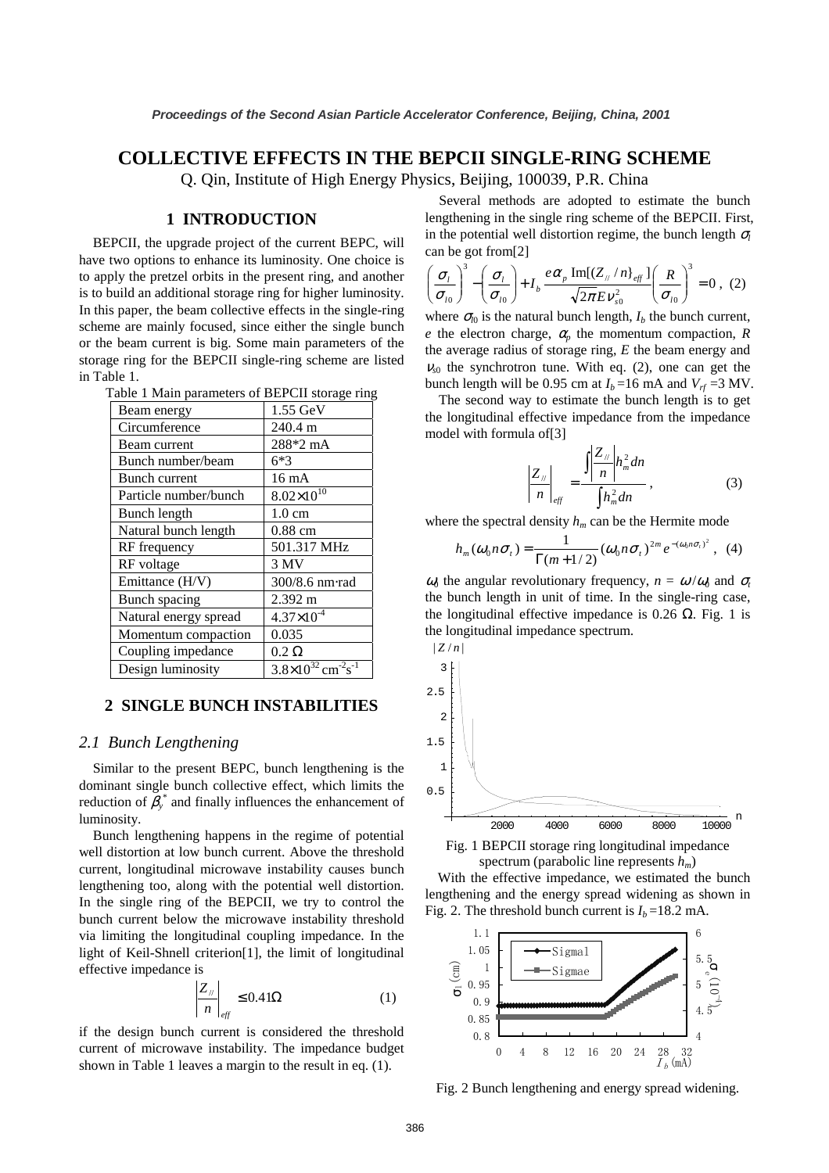# **COLLECTIVE EFFECTS IN THE BEPCII SINGLE-RING SCHEME**

Q. Qin, Institute of High Energy Physics, Beijing, 100039, P.R. China

#### **1 INTRODUCTION**

BEPCII, the upgrade project of the current BEPC, will have two options to enhance its luminosity. One choice is to apply the pretzel orbits in the present ring, and another is to build an additional storage ring for higher luminosity. In this paper, the beam collective effects in the single-ring scheme are mainly focused, since either the single bunch or the beam current is big. Some main parameters of the storage ring for the BEPCII single-ring scheme are listed in Table 1.

| Table 1 Main parameters of BEPCII storage ring |  |  |  |  |
|------------------------------------------------|--|--|--|--|
|------------------------------------------------|--|--|--|--|

| Beam energy           | $1.55$ GeV                                          |
|-----------------------|-----------------------------------------------------|
| Circumference         | 240.4 m                                             |
| Beam current          | 288*2 mA                                            |
| Bunch number/beam     | 6*3                                                 |
| <b>Bunch current</b>  | $16 \text{ mA}$                                     |
| Particle number/bunch | $8.02\times10^{10}$                                 |
| <b>Bunch length</b>   | $1.0 \text{ cm}$                                    |
| Natural bunch length  | $0.88$ cm                                           |
| RF frequency          | 501.317 MHz                                         |
| RF voltage            | 3 MV                                                |
| Emittance (H/V)       | 300/8.6 nm·rad                                      |
| Bunch spacing         | 2.392 m                                             |
| Natural energy spread | $4.37\times10^{-4}$                                 |
| Momentum compaction   | 0.035                                               |
| Coupling impedance    | $0.2 \Omega$                                        |
| Design luminosity     | $3.8\times10^{32}$ cm <sup>-2</sup> s <sup>-1</sup> |

#### **2 SINGLE BUNCH INSTABILITIES**

#### *2.1 Bunch Lengthening*

Similar to the present BEPC, bunch lengthening is the dominant single bunch collective effect, which limits the reduction of  $\beta_{y}^{*}$  and finally influences the enhancement of luminosity.

Bunch lengthening happens in the regime of potential well distortion at low bunch current. Above the threshold current, longitudinal microwave instability causes bunch lengthening too, along with the potential well distortion. In the single ring of the BEPCII, we try to control the bunch current below the microwave instability threshold via limiting the longitudinal coupling impedance. In the light of Keil-Shnell criterion[1], the limit of longitudinal effective impedance is

$$
\left|\frac{Z_{\parallel}}{n}\right|_{\text{eff}} \leq 0.41\Omega \tag{1}
$$

if the design bunch current is considered the threshold current of microwave instability. The impedance budget shown in Table 1 leaves a margin to the result in eq. (1).

Several methods are adopted to estimate the bunch lengthening in the single ring scheme of the BEPCII. First, in the potential well distortion regime, the bunch length  $\sigma_l$ can be got from[2]

$$
\left(\frac{\sigma_{l}}{\sigma_{l0}}\right)^3 - \left(\frac{\sigma_{l}}{\sigma_{l0}}\right) + I_b \frac{e\alpha_p \operatorname{Im}[(Z_{//}/n]_{\text{eff}}]}{\sqrt{2\pi}E v_{s0}^2} \left(\frac{R}{\sigma_{l0}}\right)^3 = 0 , (2)
$$

where  $\sigma_{l0}$  is the natural bunch length,  $I_b$  the bunch current, *e* the electron charge,  $\alpha_p$  the momentum compaction, *R* the average radius of storage ring, *E* the beam energy and  $v_{s0}$  the synchrotron tune. With eq. (2), one can get the bunch length will be 0.95 cm at  $I_b$ =16 mA and  $V_f$  =3 MV.

The second way to estimate the bunch length is to get the longitudinal effective impedance from the impedance model with formula of[3]

$$
\left|\frac{Z_{\scriptscriptstyle N}}{n}\right|_{\rm eff} = \frac{\int \left|\frac{Z_{\scriptscriptstyle N}}{n}\right| h_m^2 dn}{\int h_m^2 dn},\tag{3}
$$

where the spectral density  $h_m$  can be the Hermite mode

$$
h_m(\omega_0 n \sigma_t) = \frac{1}{\Gamma(m+1/2)} (\omega_0 n \sigma_t)^{2m} e^{-(\omega_0 n \sigma_t)^2}, \quad (4)
$$

 $\omega_0$  the angular revolutionary frequency,  $n = \omega/\omega_0$  and  $\sigma_t$ the bunch length in unit of time. In the single-ring case, the longitudinal effective impedance is 0.26  $\Omega$ . Fig. 1 is the longitudinal impedance spectrum.



Fig. 1 BEPCII storage ring longitudinal impedance spectrum (parabolic line represents *hm*)

With the effective impedance, we estimated the bunch lengthening and the energy spread widening as shown in Fig. 2. The threshold bunch current is  $I_b = 18.2$  mA.



Fig. 2 Bunch lengthening and energy spread widening.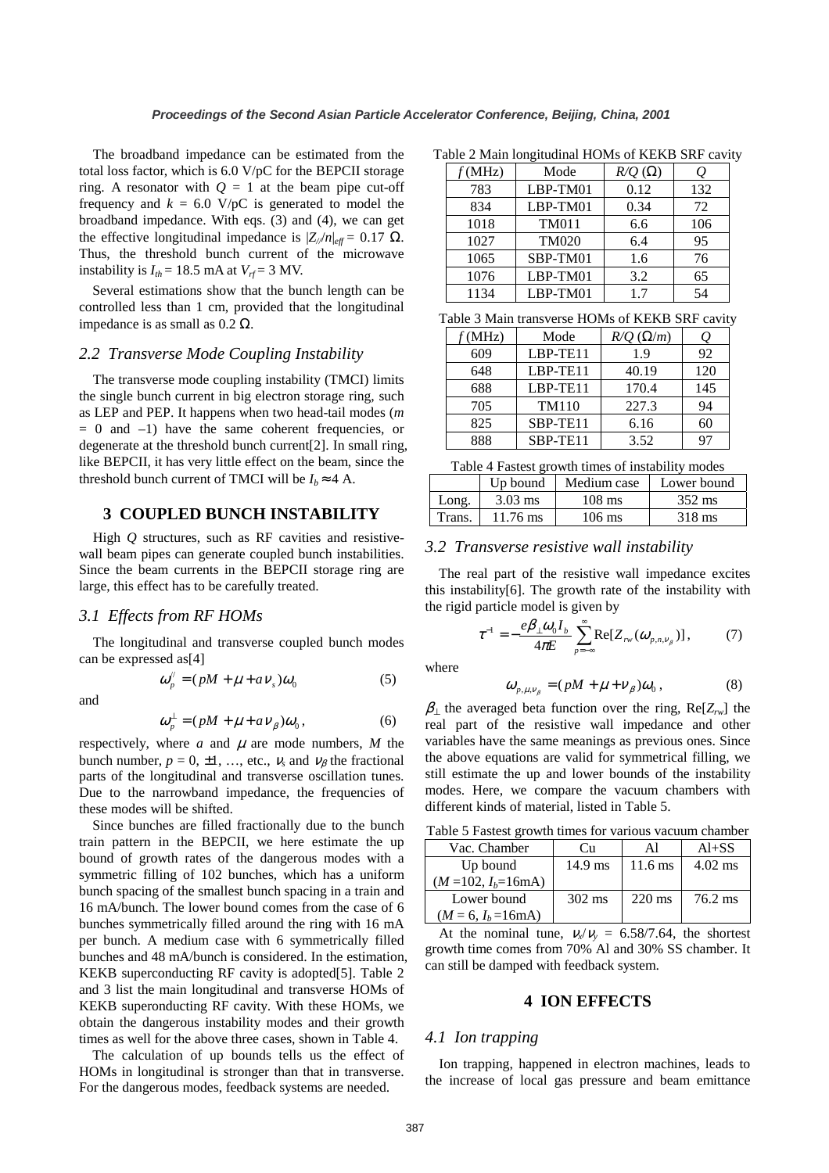The broadband impedance can be estimated from the total loss factor, which is 6.0 V/pC for the BEPCII storage ring. A resonator with  $Q = 1$  at the beam pipe cut-off frequency and  $k = 6.0$  V/pC is generated to model the broadband impedance. With eqs. (3) and (4), we can get the effective longitudinal impedance is  $|Z_{\ell}/n|_{\text{eff}} = 0.17 \Omega$ . Thus, the threshold bunch current of the microwave instability is  $I_{th} = 18.5$  mA at  $V_{rf} = 3$  MV.

Several estimations show that the bunch length can be controlled less than 1 cm, provided that the longitudinal impedance is as small as  $0.2 Ω$ .

#### *2.2 Transverse Mode Coupling Instability*

The transverse mode coupling instability (TMCI) limits the single bunch current in big electron storage ring, such as LEP and PEP. It happens when two head-tail modes (*m*  $= 0$  and  $-1$ ) have the same coherent frequencies, or degenerate at the threshold bunch current[2]. In small ring, like BEPCII, it has very little effect on the beam, since the threshold bunch current of TMCI will be  $I_b \approx 4$  A.

#### **3 COUPLED BUNCH INSTABILITY**

High *Q* structures, such as RF cavities and resistivewall beam pipes can generate coupled bunch instabilities. Since the beam currents in the BEPCII storage ring are large, this effect has to be carefully treated.

# *3.1 Effects from RF HOMs*

The longitudinal and transverse coupled bunch modes can be expressed as[4]

$$
\omega_p'' = (pM + \mu + aV_s)\omega_0 \tag{5}
$$

and

$$
\omega_p^{\perp} = (pM + \mu + a\nu_\beta)\omega_0,\tag{6}
$$

respectively, where  $a$  and  $\mu$  are mode numbers,  $M$  the bunch number,  $p = 0, \pm 1, \ldots$ , etc.,  $v_s$  and  $v_\beta$  the fractional parts of the longitudinal and transverse oscillation tunes. Due to the narrowband impedance, the frequencies of these modes will be shifted.

Since bunches are filled fractionally due to the bunch train pattern in the BEPCII, we here estimate the up bound of growth rates of the dangerous modes with a symmetric filling of 102 bunches, which has a uniform bunch spacing of the smallest bunch spacing in a train and 16 mA/bunch. The lower bound comes from the case of 6 bunches symmetrically filled around the ring with 16 mA per bunch. A medium case with 6 symmetrically filled bunches and 48 mA/bunch is considered. In the estimation, KEKB superconducting RF cavity is adopted[5]. Table 2 and 3 list the main longitudinal and transverse HOMs of KEKB superonducting RF cavity. With these HOMs, we obtain the dangerous instability modes and their growth times as well for the above three cases, shown in Table 4.

The calculation of up bounds tells us the effect of HOMs in longitudinal is stronger than that in transverse. For the dangerous modes, feedback systems are needed.

Table 2 Main longitudinal HOMs of KEKB SRF cavity

| f(MHz) | Mode         | $R/Q(\Omega)$ |     |
|--------|--------------|---------------|-----|
| 783    | LBP-TM01     | 0.12          | 132 |
| 834    | LBP-TM01     | 0.34          | 72  |
| 1018   | <b>TM011</b> | 6.6           | 106 |
| 1027   | <b>TM020</b> | 6.4           | 95  |
| 1065   | SBP-TM01     | 1.6           | 76  |
| 1076   | LBP-TM01     | 3.2           | 65  |
| 1134   | LBP-TM01     | 17            | 54  |

Table 3 Main transverse HOMs of KEKB SRF cavity

| f(MHz) | Mode         | $R/Q$ ( $\Omega/m$ ) | U   |
|--------|--------------|----------------------|-----|
| 609    | LBP-TE11     | 1.9                  | 92  |
| 648    | LBP-TE11     | 40.19                | 120 |
| 688    | LBP-TE11     | 170.4                | 145 |
| 705    | <b>TM110</b> | 227.3                | 94  |
| 825    | SBP-TE11     | 6.16                 | 60  |
| 888    | SBP-TE11     | 3.52                 |     |

|  |  | Table 4 Fastest growth times of instability modes |  |
|--|--|---------------------------------------------------|--|
|  |  |                                                   |  |

|        | Up bound  | Medium case | Lower bound      |
|--------|-----------|-------------|------------------|
| ong.   | $3.03$ ms | $108$ ms    | $352 \text{ ms}$ |
| Trans. | 11.76 ms  | 106 ms      | 318 ms           |

# *3.2 Transverse resistive wall instability*

The real part of the resistive wall impedance excites this instability[6]. The growth rate of the instability with the rigid particle model is given by

$$
\tau^{-1} = -\frac{e\beta_{\perp}\omega_0 I_b}{4\pi E} \sum_{p=-\infty}^{\infty} \text{Re}[Z_{r w}(\omega_{p,n,v_{\beta}})],\tag{7}
$$

where

$$
\omega_{p,\mu,\nu_{\beta}} = (pM + \mu + \nu_{\beta})\omega_0, \qquad (8)
$$

 $\beta_{\perp}$  the averaged beta function over the ring, Re[ $Z_{rw}$ ] the real part of the resistive wall impedance and other variables have the same meanings as previous ones. Since the above equations are valid for symmetrical filling, we still estimate the up and lower bounds of the instability modes. Here, we compare the vacuum chambers with different kinds of material, listed in Table 5.

Table 5 Fastest growth times for various vacuum chamber

| Vac. Chamber                   | Сu                | ΑI                | $AI+SS$   |  |
|--------------------------------|-------------------|-------------------|-----------|--|
| Up bound                       | $14.9 \text{ ms}$ | $11.6 \text{ ms}$ | $4.02$ ms |  |
| $(M=102, I_b=16 \text{mA})$    |                   |                   |           |  |
| Lower bound                    | $302 \text{ ms}$  | $220 \text{ ms}$  | 76.2 ms   |  |
| $(M = 6, I_b = 16 \text{ mA})$ |                   |                   |           |  |

At the nominal tune,  $v_x/v_y = 6.58/7.64$ , the shortest growth time comes from 70% Al and 30% SS chamber. It can still be damped with feedback system.

#### **4 ION EFFECTS**

# *4.1 Ion trapping*

Ion trapping, happened in electron machines, leads to the increase of local gas pressure and beam emittance